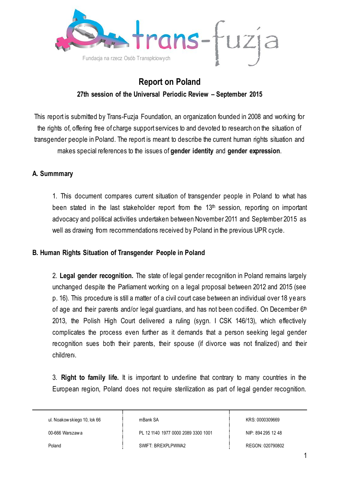

# **Report on Poland**

## **27th session of the Universal Periodic Review – September 2015**

This report is submitted by Trans-Fuzja Foundation, an organization founded in 2008 and working for the rights of, offering free of charge support services to and devoted to research on the situation of transgender people in Poland. The report is meant to describe the current human rights situation and makes special references to the issues of **gender identity** and **gender expression**.

#### **A. Summmary**

1. This document compares current situation of transgender people in Poland to what has been stated in the last stakeholder report from the 13<sup>th</sup> session, reporting on important advocacy and political activities undertaken between November 2011 and September 2015 as well as drawing from recommendations received by Poland in the previous UPR cycle.

#### **B. Human Rights Situation of Transgender People in Poland**

2. **Legal gender recognition.** The state of legal gender recognition in Poland remains largely unchanged despite the Parliament working on a legal proposal between 2012 and 2015 (see p. 16). This procedure is still a matter of a civil court case between an individual over 18 years of age and their parents and/or legal guardians, and has not been codified. On December  $6<sup>th</sup>$ 2013, the Polish High Court delivered a ruling (sygn. I CSK 146/13), which effectively complicates the process even further as it demands that a person seeking legal gender recognition sues both their parents, their spouse (if divorce was not finalized) and their childreni.

3. **Right to family life.** It is important to underline that contrary to many countries in the European region, Poland does not require sterilization as part of legal gender recognition.

ul. Noakow skiego 10, lok 66

mBank SA

00-666 Warszaw a

PL 12 1140 1977 0000 2089 3300 1001

KRS: 0000309669

NIP: 894 295 12 48

Poland

SWIFT: BREXPLPWWA2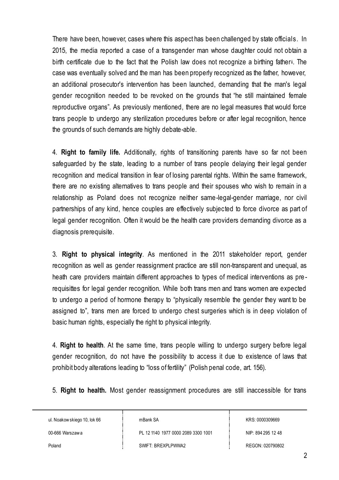There have been, however, cases where this aspect has been challenged by state officials. In 2015, the media reported a case of a transgender man whose daughter could not obtain a birth certificate due to the fact that the Polish law does not recognize a birthing fatherii. The case was eventually solved and the man has been properly recognized as the father, however, an additional prosecutor's intervention has been launched, demanding that the man's legal gender recognition needed to be revoked on the grounds that "he still maintained female reproductive organs". As previously mentioned, there are no legal measures that would force trans people to undergo any sterilization procedures before or after legal recognition, hence the grounds of such demands are highly debate-able.

4. **Right to family life.** Additionally, rights of transitioning parents have so far not been safeguarded by the state, leading to a number of trans people delaying their legal gender recognition and medical transition in fear of losing parental rights. Within the same framework, there are no existing alternatives to trans people and their spouses who wish to remain in a relationship as Poland does not recognize neither same-legal-gender marriage, nor civil partnerships of any kind, hence couples are effectively subjected to force divorce as part of legal gender recognition. Often it would be the health care providers demanding divorce as a diagnosis prerequisite.

3. **Right to physical integrity**. As mentioned in the 2011 stakeholder report, gender recognition as well as gender reassignment practice are still non-transparent and unequal, as heath care providers maintain different approaches to types of medical interventions as pre requisittes for legal gender recognition. While both trans men and trans women are expected to undergo a period of hormone therapy to "physically resemble the gender they want to be assigned to", trans men are forced to undergo chest surgeries which is in deep violation of basic human rights, especially the right to physical integrity.

4. **Right to health**. At the same time, trans people willing to undergo surgery before legal gender recognition, do not have the possibility to access it due to existence of laws that prohibit body alterations leading to "loss of fertility" (Polish penal code, art. 156).

5. **Right to health.** Most gender reassignment procedures are still inaccessible for trans

ul. Noakow skiego 10, lok 66

mBank SA

00-666 Warszaw a

PL 12 1140 1977 0000 2089 3300 1001

Poland

SWIFT: BREXPLPWWA2

KRS: 0000309669

NIP: 894 295 12 48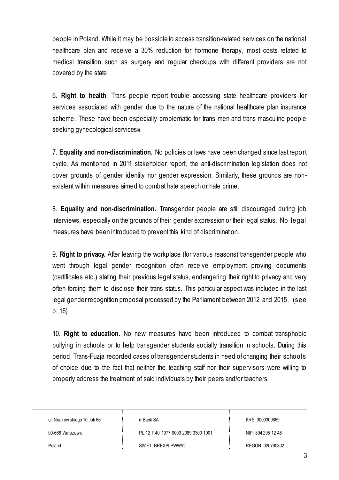people in Poland. While it may be possible to access transition-related services on the national healthcare plan and receive a 30% reduction for hormone therapy, most costs related to medical transition such as surgery and regular checkups with different providers are not covered by the state.

6. **Right to health**. Trans people report trouble accessing state healthcare providers for services associated with gender due to the nature of the national healthcare plan insurance scheme. These have been especially problematic for trans men and trans masculine people seeking gynecological servicesiii.

7. **Equality and non-discrimination.** No policies or laws have been changed since last report cycle. As mentioned in 2011 stakeholder report, the anti-discrimination legislation does not cover grounds of gender identity nor gender expression. Similarly, these grounds are nonexistent within measures aimed to combat hate speech or hate crime.

8. **Equality and non-discrimination.** Transgender people are still discouraged during job interviews, especially on the grounds of their gender expression or their legal status. No legal measures have been introduced to prevent this kind of discrimination.

9. **Right to privacy.** After leaving the workplace (for various reasons) transgender people who went through legal gender recognition often receive employment proving documents (certificates etc.) stating their previous legal status, endangering their right to privacy and very often forcing them to disclose their trans status. This particular aspect was included in the last legal gender recognition proposal processed by the Parliament between 2012 and 2015. (see p. 16)

10. **Right to education.** No new measures have been introduced to combat transphobic bullying in schools or to help transgender students socially transition in schools. During this period, Trans-Fuzja recorded cases of transgender students in need of changing their schools of choice due to the fact that neither the teaching staff nor their supervisors were willing to properly address the treatment of said individuals by their peers and/or teachers.

ul. Noakow skiego 10, lok 66

mBank SA

00-666 Warszaw a

PL 12 1140 1977 0000 2089 3300 1001

SWIFT: BREXPLPWWA2

KRS: 0000309669

NIP: 894 295 12 48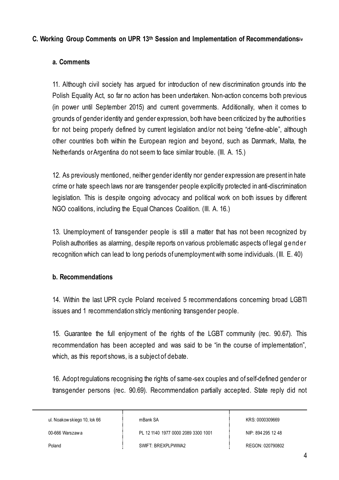#### **C. Working Group Comments on UPR 13th Session and Implementation of Recommendationsiv**

### **a. Comments**

11. Although civil society has argued for introduction of new discrimination grounds into the Polish Equality Act, so far no action has been undertaken. Non-action concerns both previous (in power until September 2015) and current governments. Additionally, when it comes to grounds of gender identity and gender expression, both have been criticized by the authorities for not being properly defined by current legislation and/or not being "define -able", although other countries both within the European region and beyond, such as Danmark, Malta, the Netherlands or Argentina do not seem to face similar trouble. (III. A. 15.)

12. As previously mentioned, neither gender identity nor gender expression are present in hate crime or hate speech laws nor are transgender people explicitly protected in anti-discrimination legislation. This is despite ongoing advocacy and political work on both issues by different NGO coalitions, including the Equal Chances Coalition. (III. A. 16.)

13. Unemployment of transgender people is still a matter that has not been recognized by Polish authorities as alarming, despite reports on various problematic aspects of legal gender recognition which can lead to long periods of unemployment with some individuals. (III. E. 40)

#### **b. Recommendations**

14. Within the last UPR cycle Poland received 5 recommendations concerning broad LGBTI issues and 1 recommendation stricly mentioning transgender people.

15. Guarantee the full enjoyment of the rights of the LGBT community (rec. 90.67). This recommendation has been accepted and was said to be "in the course of implementation", which, as this report shows, is a subject of debate.

16. Adopt regulations recognising the rights of same-sex couples and of self-defined gender or transgender persons (rec. 90.69). Recommendation partially accepted. State reply did not

ul. Noakow skiego 10, lok 66

mBank SA

00-666 Warszaw a

PL 12 1140 1977 0000 2089 3300 1001

Poland

SWIFT: BREXPLPWWA2

KRS: 0000309669

NIP: 894 295 12 48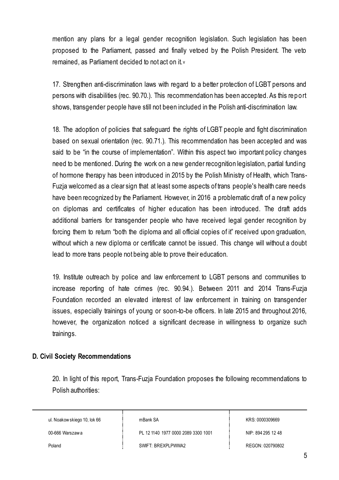mention any plans for a legal gender recognition legislation. Such legislation has been proposed to the Parliament, passed and finally vetoed by the Polish President. The veto remained, as Parliament decided to not act on it.<sup>v</sup>

17. Strengthen anti-discrimination laws with regard to a better protection of LGBT persons and persons with disabilities (rec. 90.70.). This recommendation has been accepted. As this report shows, transgender people have still not been included in the Polish anti-discrimination law.

18. The adoption of policies that safeguard the rights of LGBT people and fight discrimination based on sexual orientation (rec. 90.71.). This recommendation has been accepted and was said to be "in the course of implementation". Within this aspect two important policy changes need to be mentioned. During the work on a new gender recognition legislation, partial funding of hormone therapy has been introduced in 2015 by the Polish Ministry of Health, which Trans-Fuzja welcomed as a clear sign that at least some aspects of trans people's health care needs have been recognized by the Parliament. However, in 2016 a problematic draft of a new policy on diplomas and certificates of higher education has been introduced. The draft adds additional barriers for transgender people who have received legal gender recognition by forcing them to return "both the diploma and all official copies of it" received upon graduation, without which a new diploma or certificate cannot be issued. This change will without a doubt lead to more trans people not being able to prove their education.

19. Institute outreach by police and law enforcement to LGBT persons and communities to increase reporting of hate crimes (rec. 90.94.). Between 2011 and 2014 Trans-Fuzja Foundation recorded an elevated interest of law enforcement in training on transgender issues, especially trainings of young or soon-to-be officers. In late 2015 and throughout 2016, however, the organization noticed a significant decrease in willingness to organize such trainings.

#### **D. Civil Society Recommendations**

20. In light of this report, Trans-Fuzja Foundation proposes the following recommendations to Polish authorities:

ul. Noakow skiego 10, lok 66

mBank SA

00-666 Warszaw a

Poland

PL 12 1140 1977 0000 2089 3300 1001

SWIFT: BREXPLPWWA2

KRS: 0000309669

NIP: 894 295 12 48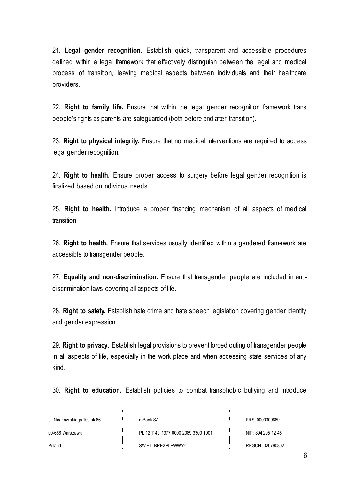21. **Legal gender recognition.** Establish quick, transparent and accessible procedures defined within a legal framework that effectively distinguish between the legal and medical process of transition, leaving medical aspects between individuals and their healthcare providers.

22. **Right to family life.** Ensure that within the legal gender recognition framework trans people's rights as parents are safeguarded (both before and after transition).

23. **Right to physical integrity.** Ensure that no medical interventions are required to access legal gender recognition.

24. **Right to health.** Ensure proper access to surgery before legal gender recognition is finalized based on individual needs.

25. **Right to health.** Introduce a proper financing mechanism of all aspects of medical transition.

26. **Right to health.** Ensure that services usually identified within a gendered framework are accessible to transgender people.

27. **Equality and non-discrimination.** Ensure that transgender people are included in antidiscrimination laws covering all aspects of life.

28. **Right to safety.** Establish hate crime and hate speech legislation covering gender identity and gender expression.

29. **Right to privacy**. Establish legal provisions to prevent forced outing of transgender people in all aspects of life, especially in the work place and when accessing state services of any kind.

30. **Right to education.** Establish policies to combat transphobic bullying and introduce

ul. Noakow skiego 10, lok 66

mBank SA

00-666 Warszaw a

PL 12 1140 1977 0000 2089 3300 1001

KRS: 0000309669

NIP: 894 295 12 48

REGON: 020790802

Poland

SWIFT: BREXPLPWWA2